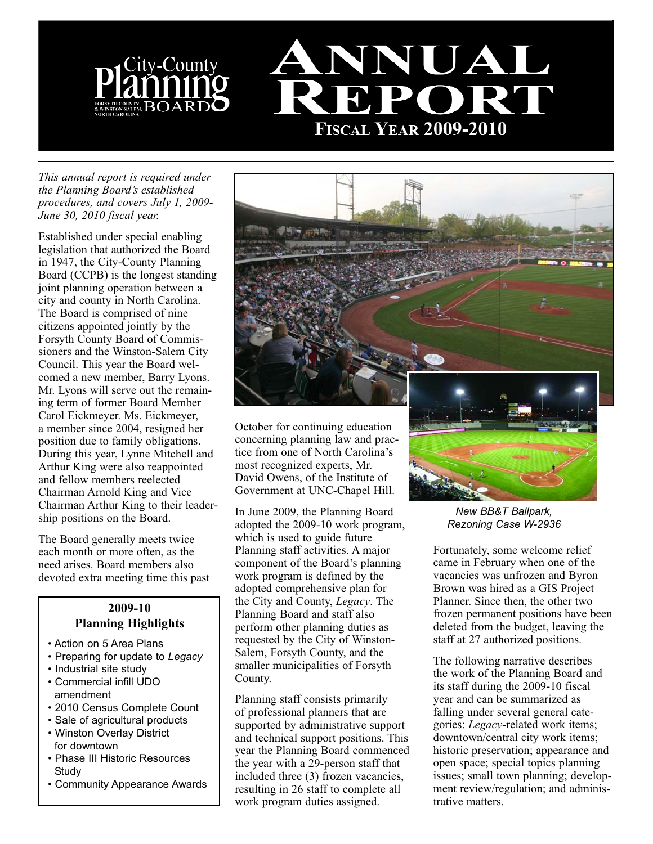



*This annual report is required under the Planning Board's established procedures, and covers July 1, 2009- June 30, 2010 fiscal year.* 

Established under special enabling legislation that authorized the Board in 1947, the City-County Planning Board (CCPB) is the longest standing joint planning operation between a city and county in North Carolina. The Board is comprised of nine citizens appointed jointly by the Forsyth County Board of Commissioners and the Winston-Salem City Council. This year the Board welcomed a new member, Barry Lyons. Mr. Lyons will serve out the remaining term of former Board Member Carol Eickmeyer. Ms. Eickmeyer, a member since 2004, resigned her position due to family obligations. During this year, Lynne Mitchell and Arthur King were also reappointed and fellow members reelected Chairman Arnold King and Vice Chairman Arthur King to their leadership positions on the Board.

The Board generally meets twice each month or more often, as the need arises. Board members also devoted extra meeting time this past

#### **2009-10 Planning Highlights**

- Action on 5 Area Plans
- Preparing for update to *Legacy*
- Industrial site study
- Commercial infill UDO amendment
- 2010 Census Complete Count
- Sale of agricultural products
- Winston Overlay District for downtown
- Phase III Historic Resources **Study**
- Community Appearance Awards



October for continuing education concerning planning law and practice from one of North Carolina's most recognized experts, Mr. David Owens, of the Institute of Government at UNC-Chapel Hill.

In June 2009, the Planning Board adopted the 2009-10 work program, which is used to guide future Planning staff activities. A major component of the Board's planning work program is defined by the adopted comprehensive plan for the City and County, *Legacy*. The Planning Board and staff also perform other planning duties as requested by the City of Winston-Salem, Forsyth County, and the smaller municipalities of Forsyth County.

Planning staff consists primarily of professional planners that are supported by administrative support and technical support positions. This year the Planning Board commenced the year with a 29-person staff that included three (3) frozen vacancies, resulting in 26 staff to complete all work program duties assigned.

*New BB&T Ballpark, Rezoning Case W-2936*

Fortunately, some welcome relief came in February when one of the vacancies was unfrozen and Byron Brown was hired as a GIS Project Planner. Since then, the other two frozen permanent positions have been deleted from the budget, leaving the staff at 27 authorized positions.

The following narrative describes the work of the Planning Board and its staff during the 2009-10 fiscal year and can be summarized as falling under several general categories: *Legacy*-related work items; downtown/central city work items; historic preservation; appearance and open space; special topics planning issues; small town planning; development review/regulation; and administrative matters.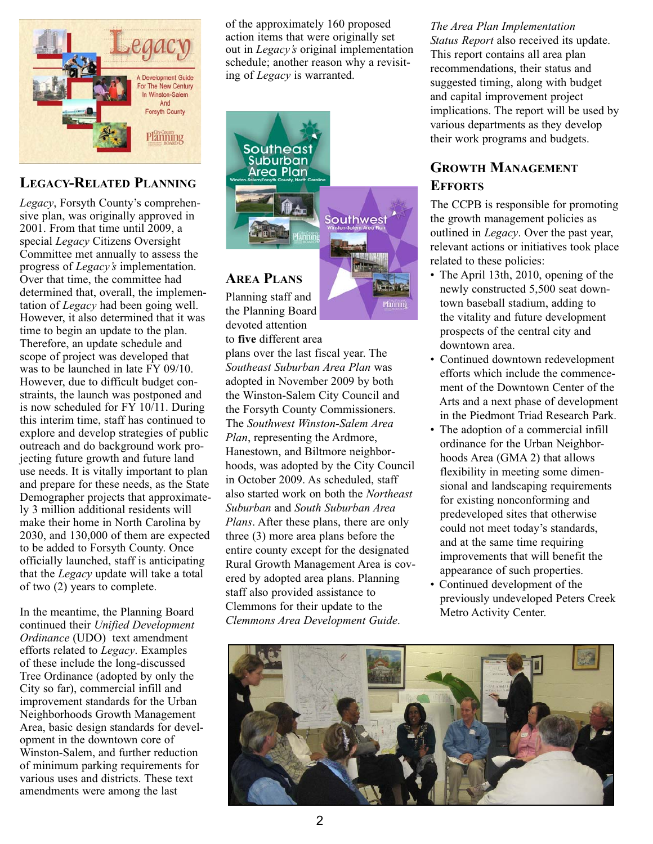

# **LEGACY-RELATED PLANNING**

*Legacy*, Forsyth County's comprehensive plan, was originally approved in 2001. From that time until 2009, a special *Legacy* Citizens Oversight Committee met annually to assess the progress of *Legacy's* implementation. Over that time, the committee had determined that, overall, the implementation of *Legacy* had been going well. However, it also determined that it was time to begin an update to the plan. Therefore, an update schedule and scope of project was developed that was to be launched in late FY 09/10. However, due to difficult budget constraints, the launch was postponed and is now scheduled for FY 10/11. During this interim time, staff has continued to explore and develop strategies of public outreach and do background work projecting future growth and future land use needs. It is vitally important to plan and prepare for these needs, as the State Demographer projects that approximately 3 million additional residents will make their home in North Carolina by 2030, and 130,000 of them are expected to be added to Forsyth County. Once officially launched, staff is anticipating that the *Legacy* update will take a total of two (2) years to complete.

In the meantime, the Planning Board continued their *Unified Development Ordinance* (UDO) text amendment efforts related to *Legacy*. Examples of these include the long-discussed Tree Ordinance (adopted by only the City so far), commercial infill and improvement standards for the Urban Neighborhoods Growth Management Area, basic design standards for development in the downtown core of Winston-Salem, and further reduction of minimum parking requirements for various uses and districts. These text amendments were among the last

of the approximately 160 proposed action items that were originally set out in *Legacy's* original implementation schedule; another reason why a revisiting of *Legacy* is warranted.



## **AREA PLANS**

Planning staff and the Planning Board devoted attention

to **five** different area plans over the last fiscal year. The *Southeast Suburban Area Plan* was adopted in November 2009 by both the Winston-Salem City Council and the Forsyth County Commissioners. The *Southwest Winston-Salem Area Plan*, representing the Ardmore, Hanestown, and Biltmore neighborhoods, was adopted by the City Council in October 2009. As scheduled, staff also started work on both the *Northeast Suburban* and *South Suburban Area Plans*. After these plans, there are only three (3) more area plans before the entire county except for the designated Rural Growth Management Area is covered by adopted area plans. Planning staff also provided assistance to Clemmons for their update to the *Clemmons Area Development Guide*.

*The Area Plan Implementation Status Report* also received its update. This report contains all area plan recommendations, their status and suggested timing, along with budget and capital improvement project implications. The report will be used by various departments as they develop their work programs and budgets.

# **GROWTH MANAGEMENT EFFORTS**

The CCPB is responsible for promoting the growth management policies as outlined in *Legacy*. Over the past year, relevant actions or initiatives took place related to these policies:

- The April 13th, 2010, opening of the newly constructed 5,500 seat downtown baseball stadium, adding to the vitality and future development prospects of the central city and downtown area.
- Continued downtown redevelopment efforts which include the commencement of the Downtown Center of the Arts and a next phase of development in the Piedmont Triad Research Park.
- The adoption of a commercial infill ordinance for the Urban Neighborhoods Area (GMA 2) that allows flexibility in meeting some dimensional and landscaping requirements for existing nonconforming and predeveloped sites that otherwise could not meet today's standards, and at the same time requiring improvements that will benefit the appearance of such properties.
- Continued development of the previously undeveloped Peters Creek Metro Activity Center.

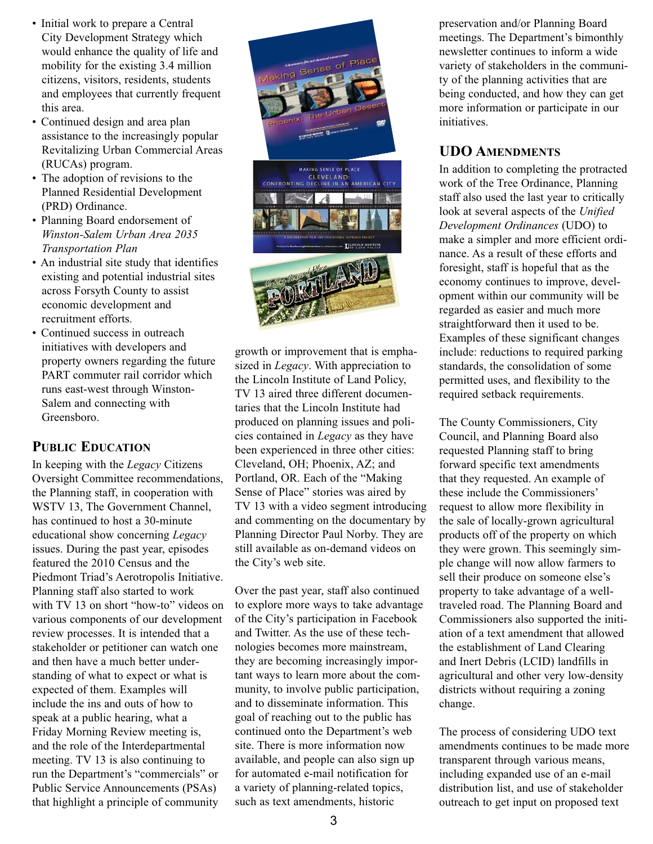- Initial work to prepare a Central City Development Strategy which would enhance the quality of life and mobility for the existing 3.4 million citizens, visitors, residents, students and employees that currently frequent this area.
- Continued design and area plan assistance to the increasingly popular Revitalizing Urban Commercial Areas (RUCAs) program.
- The adoption of revisions to the Planned Residential Development (PRD) Ordinance.
- Planning Board endorsement of *Winston-Salem Urban Area 2035 Transportation Plan*
- An industrial site study that identifies existing and potential industrial sites across Forsyth County to assist economic development and recruitment efforts.
- Continued success in outreach initiatives with developers and property owners regarding the future PART commuter rail corridor which runs east-west through Winston-Salem and connecting with Greensboro.

## **PUBLIC EDUCATION**

In keeping with the *Legacy* Citizens Oversight Committee recommendations, the Planning staff, in cooperation with WSTV 13, The Government Channel, has continued to host a 30-minute educational show concerning *Legacy* issues. During the past year, episodes featured the 2010 Census and the Piedmont Triad's Aerotropolis Initiative. Planning staff also started to work with TV 13 on short "how-to" videos on various components of our development review processes. It is intended that a stakeholder or petitioner can watch one and then have a much better understanding of what to expect or what is expected of them. Examples will include the ins and outs of how to speak at a public hearing, what a Friday Morning Review meeting is, and the role of the Interdepartmental meeting. TV 13 is also continuing to run the Department's "commercials" or Public Service Announcements (PSAs) that highlight a principle of community



growth or improvement that is emphasized in *Legacy*. With appreciation to the Lincoln Institute of Land Policy, TV 13 aired three different documentaries that the Lincoln Institute had produced on planning issues and policies contained in *Legacy* as they have been experienced in three other cities: Cleveland, OH; Phoenix, AZ; and Portland, OR. Each of the "Making Sense of Place" stories was aired by TV 13 with a video segment introducing and commenting on the documentary by Planning Director Paul Norby. They are still available as on-demand videos on the City's web site.

Over the past year, staff also continued to explore more ways to take advantage of the City's participation in Facebook and Twitter. As the use of these technologies becomes more mainstream, they are becoming increasingly important ways to learn more about the community, to involve public participation, and to disseminate information. This goal of reaching out to the public has continued onto the Department's web site. There is more information now available, and people can also sign up for automated e-mail notification for a variety of planning-related topics, such as text amendments, historic

preservation and/or Planning Board meetings. The Department's bimonthly newsletter continues to inform a wide variety of stakeholders in the community of the planning activities that are being conducted, and how they can get more information or participate in our initiatives.

## **UDO AMENDMENTS**

In addition to completing the protracted work of the Tree Ordinance, Planning staff also used the last year to critically look at several aspects of the *Unified Development Ordinances* (UDO) to make a simpler and more efficient ordinance. As a result of these efforts and foresight, staff is hopeful that as the economy continues to improve, development within our community will be regarded as easier and much more straightforward then it used to be. Examples of these significant changes include: reductions to required parking standards, the consolidation of some permitted uses, and flexibility to the required setback requirements.

The County Commissioners, City Council, and Planning Board also requested Planning staff to bring forward specific text amendments that they requested. An example of these include the Commissioners' request to allow more flexibility in the sale of locally-grown agricultural products off of the property on which they were grown. This seemingly simple change will now allow farmers to sell their produce on someone else's property to take advantage of a welltraveled road. The Planning Board and Commissioners also supported the initiation of a text amendment that allowed the establishment of Land Clearing and Inert Debris (LCID) landfills in agricultural and other very low-density districts without requiring a zoning change.

The process of considering UDO text amendments continues to be made more transparent through various means, including expanded use of an e-mail distribution list, and use of stakeholder outreach to get input on proposed text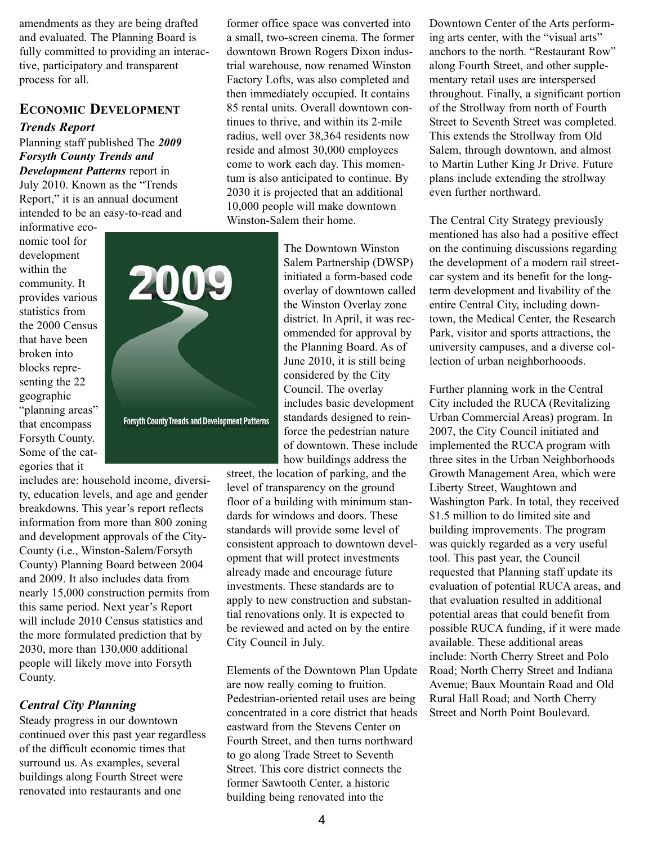amendments as they are being drafted and evaluated. The Planning Board is fully committed to providing an interactive, participatory and transparent process for all.

### **ECONOMIC DEVELOPMENT**

#### *Trends Report*

Planning staff published The *2009 Forsyth County Trends and Development Patterns* report in July 2010. Known as the "Trends Report," it is an annual document intended to be an easy-to-read and

informative economic tool for development within the community. It provides various statistics from the 2000 Census that have been broken into blocks representing the 22 geographic "planning areas" that encompass Forsyth County. Some of the categories that it



includes are: household income, diversity, education levels, and age and gender breakdowns. This year's report reflects information from more than 800 zoning and development approvals of the City-County (i.e., Winston-Salem/Forsyth County) Planning Board between 2004 and 2009. It also includes data from nearly 15,000 construction permits from this same period. Next year's Report will include 2010 Census statistics and the more formulated prediction that by 2030, more than 130,000 additional people will likely move into Forsyth County.

#### *Central City Planning*

Steady progress in our downtown continued over this past year regardless of the difficult economic times that surround us. As examples, several buildings along Fourth Street were renovated into restaurants and one

former office space was converted into a small, two-screen cinema. The former downtown Brown Rogers Dixon industrial warehouse, now renamed Winston Factory Lofts, was also completed and then immediately occupied. It contains 85 rental units. Overall downtown continues to thrive, and within its 2-mile radius, well over 38,364 residents now reside and almost 30,000 employees come to work each day. This momentum is also anticipated to continue. By 2030 it is projected that an additional 10,000 people will make downtown Winston-Salem their home.

> The Downtown Winston Salem Partnership (DWSP) initiated a form-based code overlay of downtown called the Winston Overlay zone district. In April, it was recommended for approval by the Planning Board. As of June 2010, it is still being considered by the City Council. The overlay includes basic development standards designed to reinforce the pedestrian nature of downtown. These include how buildings address the

street, the location of parking, and the level of transparency on the ground floor of a building with minimum standards for windows and doors. These standards will provide some level of consistent approach to downtown development that will protect investments already made and encourage future investments. These standards are to apply to new construction and substantial renovations only. It is expected to be reviewed and acted on by the entire City Council in July.

Elements of the Downtown Plan Update are now really coming to fruition. Pedestrian-oriented retail uses are being concentrated in a core district that heads eastward from the Stevens Center on Fourth Street, and then turns northward to go along Trade Street to Seventh Street. This core district connects the former Sawtooth Center, a historic building being renovated into the

Downtown Center of the Arts performing arts center, with the "visual arts" anchors to the north. "Restaurant Row" along Fourth Street, and other supplementary retail uses are interspersed throughout. Finally, a significant portion of the Strollway from north of Fourth Street to Seventh Street was completed. This extends the Strollway from Old Salem, through downtown, and almost to Martin Luther King Jr Drive. Future plans include extending the strollway even further northward.

The Central City Strategy previously mentioned has also had a positive effect on the continuing discussions regarding the development of a modern rail streetcar system and its benefit for the longterm development and livability of the entire Central City, including downtown, the Medical Center, the Research Park, visitor and sports attractions, the university campuses, and a diverse collection of urban neighborhooods.

Further planning work in the Central City included the RUCA (Revitalizing Urban Commercial Areas) program. In 2007, the City Council initiated and implemented the RUCA program with three sites in the Urban Neighborhoods Growth Management Area, which were Liberty Street, Waughtown and Washington Park. In total, they received \$1.5 million to do limited site and building improvements. The program was quickly regarded as a very useful tool. This past year, the Council requested that Planning staff update its evaluation of potential RUCA areas, and that evaluation resulted in additional potential areas that could benefit from possible RUCA funding, if it were made available. These additional areas include: North Cherry Street and Polo Road; North Cherry Street and Indiana Avenue; Baux Mountain Road and Old Rural Hall Road; and North Cherry Street and North Point Boulevard.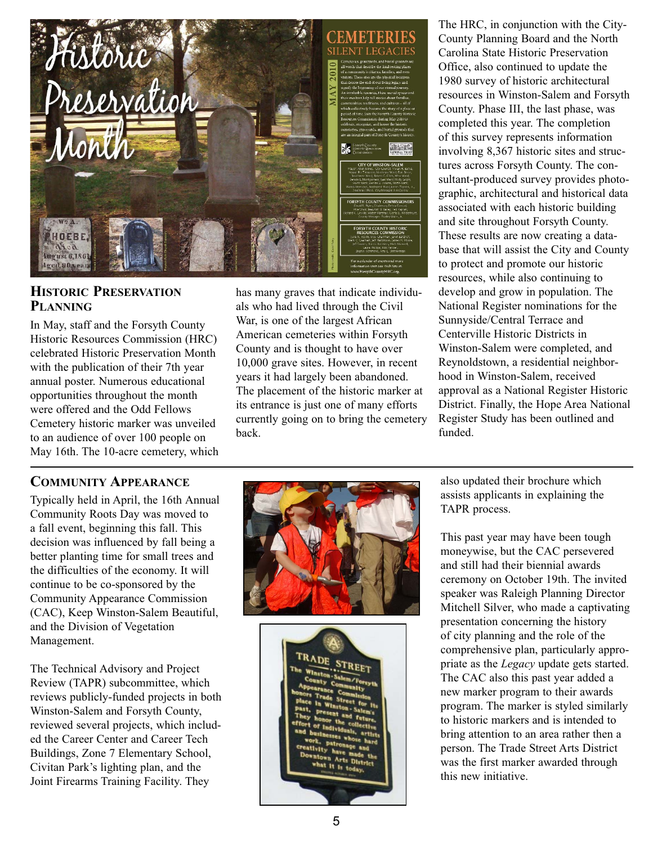

#### **HISTORIC PRESERVATION PLANNING**

In May, staff and the Forsyth County Historic Resources Commission (HRC) celebrated Historic Preservation Month with the publication of their 7th year annual poster. Numerous educational opportunities throughout the month were offered and the Odd Fellows Cemetery historic marker was unveiled to an audience of over 100 people on May 16th. The 10-acre cemetery, which

#### **COMMUNITY APPEARANCE**

Typically held in April, the 16th Annual Community Roots Day was moved to a fall event, beginning this fall. This decision was influenced by fall being a better planting time for small trees and the difficulties of the economy. It will continue to be co-sponsored by the Community Appearance Commission (CAC), Keep Winston-Salem Beautiful, and the Division of Vegetation Management.

The Technical Advisory and Project Review (TAPR) subcommittee, which reviews publicly-funded projects in both Winston-Salem and Forsyth County, reviewed several projects, which included the Career Center and Career Tech Buildings, Zone 7 Elementary School, Civitan Park's lighting plan, and the Joint Firearms Training Facility. They

has many graves that indicate individuals who had lived through the Civil War, is one of the largest African American cemeteries within Forsyth County and is thought to have over 10,000 grave sites. However, in recent years it had largely been abandoned. The placement of the historic marker at its entrance is just one of many efforts currently going on to bring the cemetery back.

The HRC, in conjunction with the City-County Planning Board and the North Carolina State Historic Preservation Office, also continued to update the 1980 survey of historic architectural resources in Winston-Salem and Forsyth County. Phase III, the last phase, was completed this year. The completion of this survey represents information involving 8,367 historic sites and structures across Forsyth County. The consultant-produced survey provides photographic, architectural and historical data associated with each historic building and site throughout Forsyth County. These results are now creating a database that will assist the City and County to protect and promote our historic resources, while also continuing to develop and grow in population. The National Register nominations for the Sunnyside/Central Terrace and Centerville Historic Districts in Winston-Salem were completed, and Reynoldstown, a residential neighborhood in Winston-Salem, received approval as a National Register Historic District. Finally, the Hope Area National Register Study has been outlined and funded.

also updated their brochure which assists applicants in explaining the TAPR process.

This past year may have been tough moneywise, but the CAC persevered and still had their biennial awards ceremony on October 19th. The invited speaker was Raleigh Planning Director Mitchell Silver, who made a captivating presentation concerning the history of city planning and the role of the comprehensive plan, particularly appropriate as the *Legacy* update gets started. The CAC also this past year added a new marker program to their awards program. The marker is styled similarly to historic markers and is intended to bring attention to an area rather then a person. The Trade Street Arts District was the first marker awarded through this new initiative.

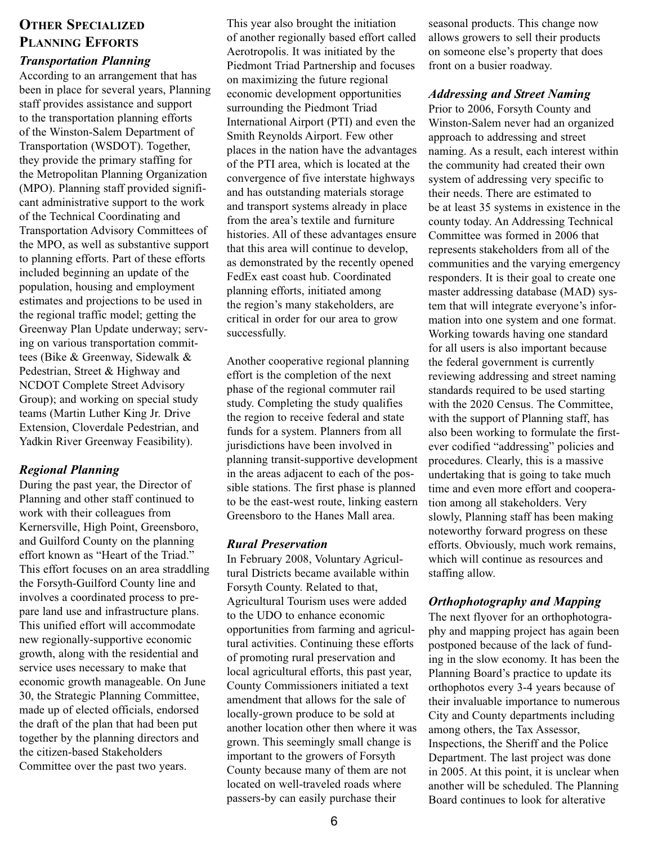# **OTHER SPECIALIZED PLANNING EFFORTS**

#### *Transportation Planning*

According to an arrangement that has been in place for several years, Planning staff provides assistance and support to the transportation planning efforts of the Winston-Salem Department of Transportation (WSDOT). Together, they provide the primary staffing for the Metropolitan Planning Organization (MPO). Planning staff provided significant administrative support to the work of the Technical Coordinating and Transportation Advisory Committees of the MPO, as well as substantive support to planning efforts. Part of these efforts included beginning an update of the population, housing and employment estimates and projections to be used in the regional traffic model; getting the Greenway Plan Update underway; serving on various transportation committees (Bike & Greenway, Sidewalk & Pedestrian, Street & Highway and NCDOT Complete Street Advisory Group); and working on special study teams (Martin Luther King Jr. Drive Extension, Cloverdale Pedestrian, and Yadkin River Greenway Feasibility).

#### *Regional Planning*

During the past year, the Director of Planning and other staff continued to work with their colleagues from Kernersville, High Point, Greensboro, and Guilford County on the planning effort known as "Heart of the Triad." This effort focuses on an area straddling the Forsyth-Guilford County line and involves a coordinated process to prepare land use and infrastructure plans. This unified effort will accommodate new regionally-supportive economic growth, along with the residential and service uses necessary to make that economic growth manageable. On June 30, the Strategic Planning Committee, made up of elected officials, endorsed the draft of the plan that had been put together by the planning directors and the citizen-based Stakeholders Committee over the past two years.

This year also brought the initiation of another regionally based effort called Aerotropolis. It was initiated by the Piedmont Triad Partnership and focuses on maximizing the future regional economic development opportunities surrounding the Piedmont Triad International Airport (PTI) and even the Smith Reynolds Airport. Few other places in the nation have the advantages of the PTI area, which is located at the convergence of five interstate highways and has outstanding materials storage and transport systems already in place from the area's textile and furniture histories. All of these advantages ensure that this area will continue to develop, as demonstrated by the recently opened FedEx east coast hub. Coordinated planning efforts, initiated among the region's many stakeholders, are critical in order for our area to grow successfully.

Another cooperative regional planning effort is the completion of the next phase of the regional commuter rail study. Completing the study qualifies the region to receive federal and state funds for a system. Planners from all jurisdictions have been involved in planning transit-supportive development in the areas adjacent to each of the possible stations. The first phase is planned to be the east-west route, linking eastern Greensboro to the Hanes Mall area.

#### *Rural Preservation*

In February 2008, Voluntary Agricultural Districts became available within Forsyth County. Related to that, Agricultural Tourism uses were added to the UDO to enhance economic opportunities from farming and agricultural activities. Continuing these efforts of promoting rural preservation and local agricultural efforts, this past year, County Commissioners initiated a text amendment that allows for the sale of locally-grown produce to be sold at another location other then where it was grown. This seemingly small change is important to the growers of Forsyth County because many of them are not located on well-traveled roads where passers-by can easily purchase their

seasonal products. This change now allows growers to sell their products on someone else's property that does front on a busier roadway.

#### *Addressing and Street Naming*

Prior to 2006, Forsyth County and Winston-Salem never had an organized approach to addressing and street naming. As a result, each interest within the community had created their own system of addressing very specific to their needs. There are estimated to be at least 35 systems in existence in the county today. An Addressing Technical Committee was formed in 2006 that represents stakeholders from all of the communities and the varying emergency responders. It is their goal to create one master addressing database (MAD) system that will integrate everyone's information into one system and one format. Working towards having one standard for all users is also important because the federal government is currently reviewing addressing and street naming standards required to be used starting with the 2020 Census. The Committee, with the support of Planning staff, has also been working to formulate the firstever codified "addressing" policies and procedures. Clearly, this is a massive undertaking that is going to take much time and even more effort and cooperation among all stakeholders. Very slowly, Planning staff has been making noteworthy forward progress on these efforts. Obviously, much work remains, which will continue as resources and staffing allow.

#### *Orthophotography and Mapping*

The next flyover for an orthophotography and mapping project has again been postponed because of the lack of funding in the slow economy. It has been the Planning Board's practice to update its orthophotos every 3-4 years because of their invaluable importance to numerous City and County departments including among others, the Tax Assessor, Inspections, the Sheriff and the Police Department. The last project was done in 2005. At this point, it is unclear when another will be scheduled. The Planning Board continues to look for alterative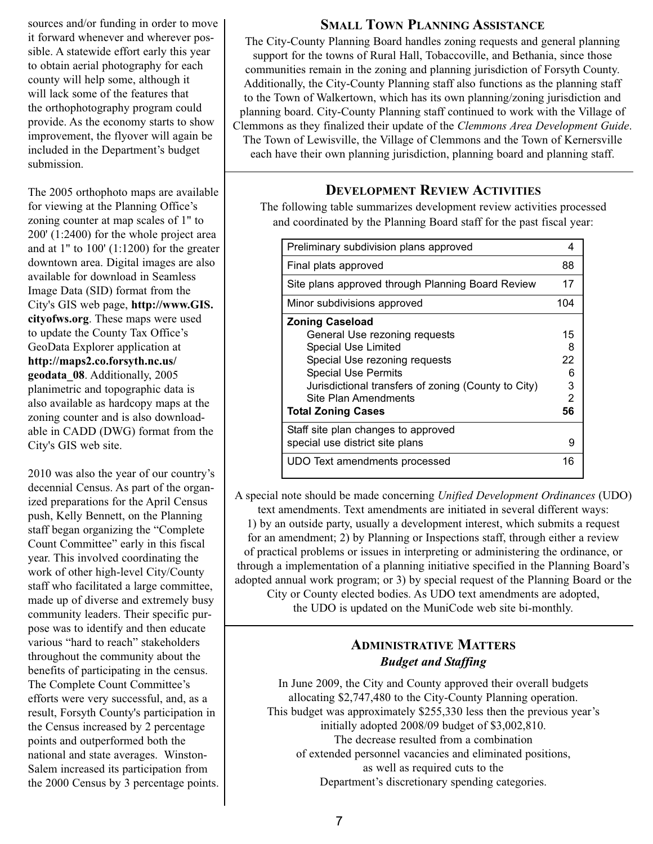sources and/or funding in order to move it forward whenever and wherever possible. A statewide effort early this year to obtain aerial photography for each county will help some, although it will lack some of the features that the orthophotography program could provide. As the economy starts to show improvement, the flyover will again be included in the Department's budget submission.

The 2005 orthophoto maps are available for viewing at the Planning Office's zoning counter at map scales of 1" to 200' (1:2400) for the whole project area and at  $1"$  to  $100'$   $(1:1200)$  for the greater downtown area. Digital images are also available for download in Seamless Image Data (SID) format from the City's GIS web page, **http://www.GIS. cityofws.org**. These maps were used to update the County Tax Office's GeoData Explorer application at **http://maps2.co.forsyth.nc.us/ geodata\_08**. Additionally, 2005 planimetric and topographic data is also available as hardcopy maps at the zoning counter and is also downloadable in CADD (DWG) format from the City's GIS web site.

2010 was also the year of our country's decennial Census. As part of the organized preparations for the April Census push, Kelly Bennett, on the Planning staff began organizing the "Complete Count Committee" early in this fiscal year. This involved coordinating the work of other high-level City/County staff who facilitated a large committee, made up of diverse and extremely busy community leaders. Their specific purpose was to identify and then educate various "hard to reach" stakeholders throughout the community about the benefits of participating in the census. The Complete Count Committee's efforts were very successful, and, as a result, Forsyth County's participation in the Census increased by 2 percentage points and outperformed both the national and state averages. Winston-Salem increased its participation from the 2000 Census by 3 percentage points.

#### **SMALL TOWN PLANNING ASSISTANCE**

The City-County Planning Board handles zoning requests and general planning support for the towns of Rural Hall, Tobaccoville, and Bethania, since those communities remain in the zoning and planning jurisdiction of Forsyth County. Additionally, the City-County Planning staff also functions as the planning staff to the Town of Walkertown, which has its own planning/zoning jurisdiction and planning board. City-County Planning staff continued to work with the Village of Clemmons as they finalized their update of the *Clemmons Area Development Guide*. The Town of Lewisville, the Village of Clemmons and the Town of Kernersville each have their own planning jurisdiction, planning board and planning staff.

### **DEVELOPMENT REVIEW ACTIVITIES**

The following table summarizes development review activities processed and coordinated by the Planning Board staff for the past fiscal year:

| Preliminary subdivision plans approved              | 4             |
|-----------------------------------------------------|---------------|
| Final plats approved                                | 88            |
| Site plans approved through Planning Board Review   | 17            |
| Minor subdivisions approved                         | 104           |
| <b>Zoning Caseload</b>                              |               |
| General Use rezoning requests                       | 15            |
| Special Use Limited                                 | 8             |
| Special Use rezoning requests                       | 22            |
| <b>Special Use Permits</b>                          | 6             |
| Jurisdictional transfers of zoning (County to City) | 3             |
| Site Plan Amendments                                | $\mathcal{P}$ |
| <b>Total Zoning Cases</b>                           | 56            |
| Staff site plan changes to approved                 |               |
| special use district site plans                     | g             |
| UDO Text amendments processed                       | 16            |

A special note should be made concerning *Unified Development Ordinances* (UDO) text amendments. Text amendments are initiated in several different ways: 1) by an outside party, usually a development interest, which submits a request

for an amendment; 2) by Planning or Inspections staff, through either a review of practical problems or issues in interpreting or administering the ordinance, or through a implementation of a planning initiative specified in the Planning Board's adopted annual work program; or 3) by special request of the Planning Board or the City or County elected bodies. As UDO text amendments are adopted,

the UDO is updated on the MuniCode web site bi-monthly.

# **ADMINISTRATIVE MATTERS** *Budget and Staffing*

In June 2009, the City and County approved their overall budgets allocating \$2,747,480 to the City-County Planning operation. This budget was approximately \$255,330 less then the previous year's initially adopted 2008/09 budget of \$3,002,810. The decrease resulted from a combination of extended personnel vacancies and eliminated positions, as well as required cuts to the Department's discretionary spending categories.